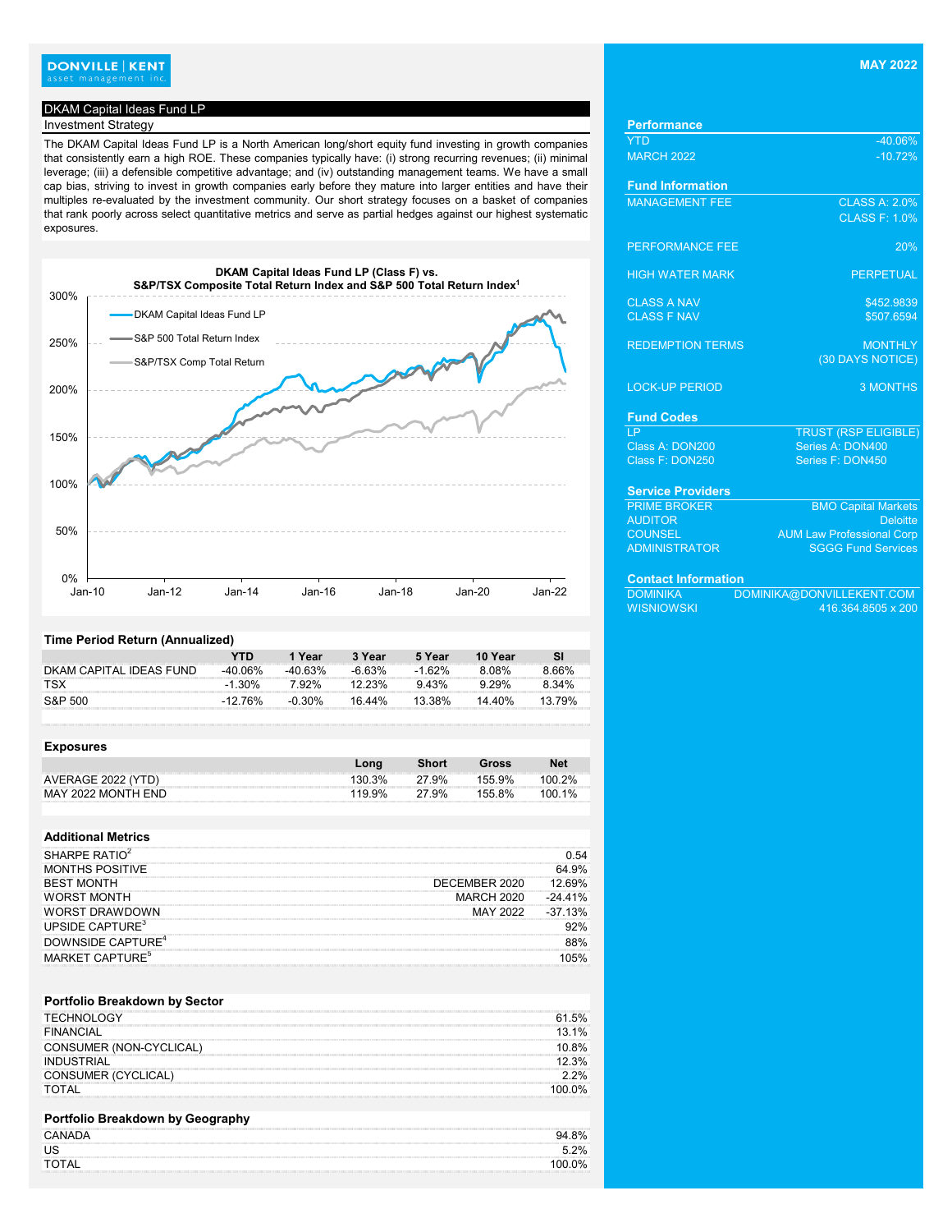# **DONVILLE | KENT**<br>asset management inc.

## DKAM Capital Ideas Fund LP

# **Investment Strategy**

The DKAM Capital Ideas Fund LP is a North American long/short equity fund investing in growth companies that consistently earn a high ROE. These companies typically have: (i) strong recurring revenues; (ii) minimal leverage; (iii) a defensible competitive advantage; and (iv) outstanding management teams. We have a small cap bias, striving to invest in growth companies early before they mature into larger entities and have their multiples re-evaluated by the investment community. Our short strategy focuses on a basket of companies that rank poorly across select quantitative metrics and serve as partial hedges against our highest systematic exposures.



### **Time Period Return (Annualized)**

|                         | YTN       | 1 Year    | 3 Year    | 5 Year   | 10 Year  |        |
|-------------------------|-----------|-----------|-----------|----------|----------|--------|
| DKAM CAPITAL IDEAS FUND | -40 06%   | -40 63%   | -6.63%    | $-1.62%$ | 8.08%    | 8.66%  |
| <b>TSX</b>              | $-1.30\%$ | 7.92%     | $12.23\%$ | 9.43%    | $9.29\%$ | 8.34%  |
| S&P 500                 | -12 76%   | $-0.30\%$ | 16.44%    | 13.38%   | 14.40%   | 13 79% |

| <b>Exposures</b>   |        |              |        |            |
|--------------------|--------|--------------|--------|------------|
|                    | Long   | <b>Short</b> | Gross  | <b>Net</b> |
| AVERAGE 2022 (YTD) | 130.3% | 27.9%        | 155.9% | $100.2\%$  |
| MAY 2022 MONTH END | 119.9% | 27.9%        | 155.8% | $100.1\%$  |

#### **Additional Metrics**

| SHARPF RATIO <sup>2</sup>                                                                                                                                                                                                                                     |                   | .54        |
|---------------------------------------------------------------------------------------------------------------------------------------------------------------------------------------------------------------------------------------------------------------|-------------------|------------|
| )NTHS POSITIVE                                                                                                                                                                                                                                                |                   | 64.        |
| <b>BEST MONTH</b>                                                                                                                                                                                                                                             | JECEMBER 2020     |            |
| <b>DRST MONTH</b><br>vv o                                                                                                                                                                                                                                     | <b>MARCH 2020</b> | $-24.41\%$ |
| RST DRAWDOWN                                                                                                                                                                                                                                                  |                   | 3%         |
| UPSIDE CAPTURE <sup>3</sup>                                                                                                                                                                                                                                   |                   |            |
| DOWNSIDE CAPTURE <sup>4</sup>                                                                                                                                                                                                                                 |                   |            |
| MARKET CAPTURF <sup>5</sup><br>and the contract of the contract of the contract of the contract of the contract of the contract of the contract of the contract of the contract of the contract of the contract of the contract of the contract of the contra |                   |            |

## **Portfolio Breakdown by Sector** TECHNOLOGY 61.5%<br>FINANCIAL 13.1% **FINANCIAL** CONSUMER (NON-CYCLICAL) 10.8% INDUSTRIAL 12.3% CONSUMER (CYCLICAL) 2.2%

## **Portfolio Breakdown by Geography**

| <b>CANADA</b><br>94.                                                                                                                                                                                                                                | .8% |
|-----------------------------------------------------------------------------------------------------------------------------------------------------------------------------------------------------------------------------------------------------|-----|
|                                                                                                                                                                                                                                                     | 2%  |
| 100.0%<br>$\mathcal{L}^{\text{max}}$ . The contract of the contract of the contract of the contract of the contract of the contract of the contract of the contract of the contract of the contract of the contract of the contract of the contract |     |

TOTAL 100.0%

| <b>Performance</b>         |                                  |
|----------------------------|----------------------------------|
| <b>YTD</b>                 | $-40.06%$                        |
| <b>MARCH 2022</b>          | $-10.72%$                        |
| <b>Fund Information</b>    |                                  |
| <b>MANAGEMENT FEE</b>      | <b>CLASS A: 2.0%</b>             |
|                            | <b>CLASS F: 1.0%</b>             |
| PERFORMANCE FEE            | 20%                              |
| <b>HIGH WATER MARK</b>     | <b>PERPETUAL</b>                 |
| <b>CLASS A NAV</b>         | \$452.9839                       |
| <b>CLASS F NAV</b>         | \$507.6594                       |
| <b>REDEMPTION TERMS</b>    | <b>MONTHLY</b>                   |
|                            | (30 DAYS NOTICE)                 |
| <b>LOCK-UP PERIOD</b>      | <b>3 MONTHS</b>                  |
| <b>Fund Codes</b>          |                                  |
| $\overline{LP}$            | <b>TRUST (RSP ELIGIBLE)</b>      |
| Class A: DON200            | Series A: DON400                 |
| Class F: DON250            | Series F: DON450                 |
| <b>Service Providers</b>   |                                  |
| <b>PRIME BROKER</b>        | <b>BMO Capital Markets</b>       |
| <b>AUDITOR</b>             | <b>Deloitte</b>                  |
| <b>COUNSEL</b>             | <b>AUM Law Professional Corp</b> |
| <b>ADMINISTRATOR</b>       | <b>SGGG Fund Services</b>        |
| <b>Contact Information</b> |                                  |
| <b>DOMINIKA</b>            | DOMINIKA@DONVILLEKENT.COM        |
| <b>WISNIOWSKI</b>          | 416.364.8505 x 200               |
|                            |                                  |
|                            |                                  |
|                            |                                  |
|                            |                                  |